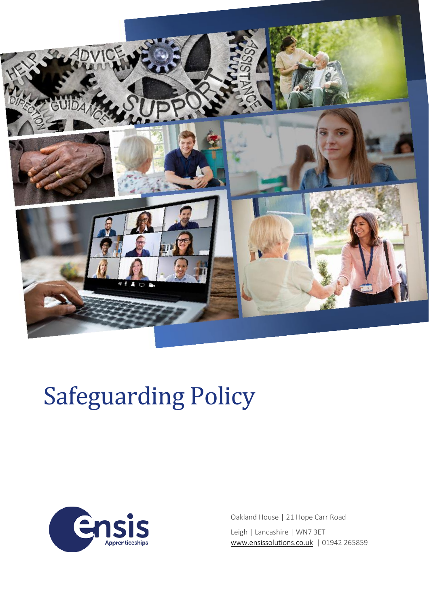

# Safeguarding Policy



Oakland House | 21 Hope Carr Road Leigh | Lancashire | WN7 3ET [www.ensissolutions.co.uk](http://www.ensissolutions.co.uk/) | 01942 265859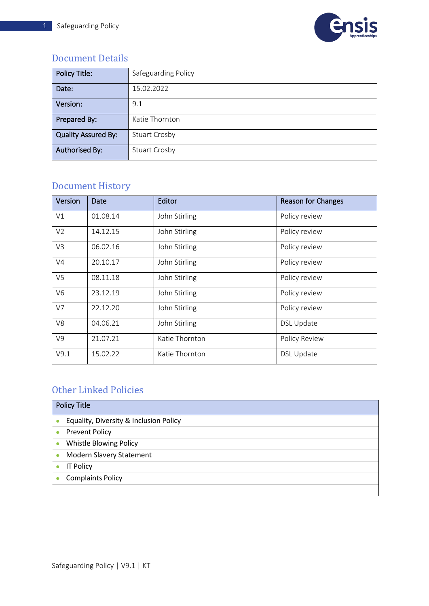

## <span id="page-1-0"></span>Document Details

| <b>Policy Title:</b>       | Safeguarding Policy  |
|----------------------------|----------------------|
| Date:                      | 15.02.2022           |
| Version:                   | 9.1                  |
| Prepared By:               | Katie Thornton       |
| <b>Quality Assured By:</b> | <b>Stuart Crosby</b> |
| <b>Authorised By:</b>      | <b>Stuart Crosby</b> |

## <span id="page-1-1"></span>Document History

| Version        | Date     | Editor         | <b>Reason for Changes</b> |
|----------------|----------|----------------|---------------------------|
| V1             | 01.08.14 | John Stirling  | Policy review             |
| V <sub>2</sub> | 14.12.15 | John Stirling  | Policy review             |
| V3             | 06.02.16 | John Stirling  | Policy review             |
| V <sub>4</sub> | 20.10.17 | John Stirling  | Policy review             |
| V <sub>5</sub> | 08.11.18 | John Stirling  | Policy review             |
| V <sub>6</sub> | 23.12.19 | John Stirling  | Policy review             |
| V7             | 22.12.20 | John Stirling  | Policy review             |
| V8             | 04.06.21 | John Stirling  | <b>DSL Update</b>         |
| V9             | 21.07.21 | Katie Thornton | Policy Review             |
| V9.1           | 15.02.22 | Katie Thornton | <b>DSL Update</b>         |

## <span id="page-1-2"></span>Other Linked Policies

| <b>Policy Title</b>                    |
|----------------------------------------|
| Equality, Diversity & Inclusion Policy |
| <b>Prevent Policy</b><br>$\bullet$     |
| Whistle Blowing Policy                 |
| <b>Modern Slavery Statement</b>        |
| <b>IT Policy</b>                       |
| <b>Complaints Policy</b>               |
|                                        |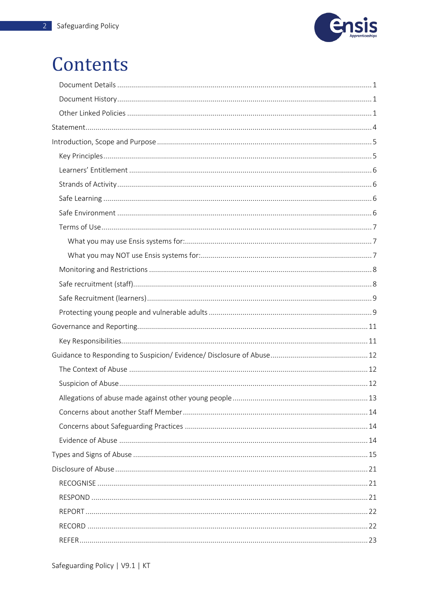

## Contents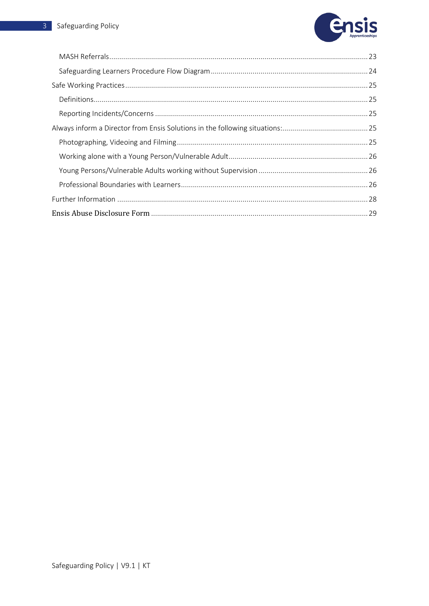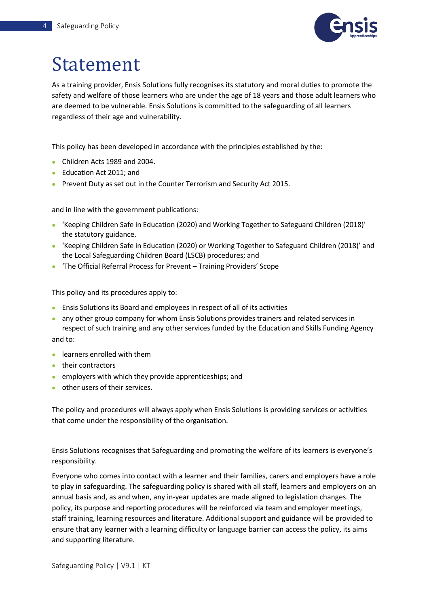

## <span id="page-4-0"></span>Statement

As a training provider, Ensis Solutions fully recognises its statutory and moral duties to promote the safety and welfare of those learners who are under the age of 18 years and those adult learners who are deemed to be vulnerable. Ensis Solutions is committed to the safeguarding of all learners regardless of their age and vulnerability.

This policy has been developed in accordance with the principles established by the:

- Children Acts 1989 and 2004.
- Education Act 2011; and
- Prevent Duty as set out in the Counter Terrorism and Security Act 2015.

and in line with the government publications:

- 'Keeping Children Safe in Education (2020) and Working Together to Safeguard Children (2018)' the statutory guidance.
- 'Keeping Children Safe in Education (2020) or Working Together to Safeguard Children (2018)' and the Local Safeguarding Children Board (LSCB) procedures; and
- 'The Official Referral Process for Prevent Training Providers' Scope

This policy and its procedures apply to:

- Ensis Solutions its Board and employees in respect of all of its activities
- any other group company for whom Ensis Solutions provides trainers and related services in respect of such training and any other services funded by the Education and Skills Funding Agency

and to:

- learners enrolled with them
- their contractors
- employers with which they provide apprenticeships; and
- other users of their services.

The policy and procedures will always apply when Ensis Solutions is providing services or activities that come under the responsibility of the organisation.

Ensis Solutions recognises that Safeguarding and promoting the welfare of its learners is everyone's responsibility.

Everyone who comes into contact with a learner and their families, carers and employers have a role to play in safeguarding. The safeguarding policy is shared with all staff, learners and employers on an annual basis and, as and when, any in-year updates are made aligned to legislation changes. The policy, its purpose and reporting procedures will be reinforced via team and employer meetings, staff training, learning resources and literature. Additional support and guidance will be provided to ensure that any learner with a learning difficulty or language barrier can access the policy, its aims and supporting literature.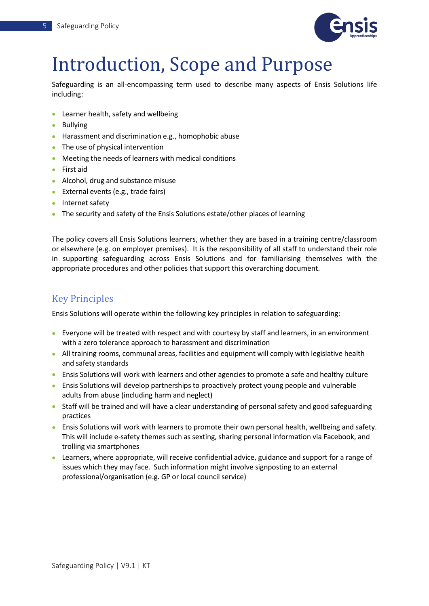

## <span id="page-5-0"></span>Introduction, Scope and Purpose

Safeguarding is an all-encompassing term used to describe many aspects of Ensis Solutions life including:

- Learner health, safety and wellbeing
- Bullying
- Harassment and discrimination e.g., homophobic abuse
- The use of physical intervention
- Meeting the needs of learners with medical conditions
- First aid
- Alcohol, drug and substance misuse
- External events (e.g., trade fairs)
- Internet safety
- The security and safety of the Ensis Solutions estate/other places of learning

The policy covers all Ensis Solutions learners, whether they are based in a training centre/classroom or elsewhere (e.g. on employer premises). It is the responsibility of all staff to understand their role in supporting safeguarding across Ensis Solutions and for familiarising themselves with the appropriate procedures and other policies that support this overarching document.

### <span id="page-5-1"></span>Key Principles

Ensis Solutions will operate within the following key principles in relation to safeguarding:

- Everyone will be treated with respect and with courtesy by staff and learners, in an environment with a zero tolerance approach to harassment and discrimination
- All training rooms, communal areas, facilities and equipment will comply with legislative health and safety standards
- Ensis Solutions will work with learners and other agencies to promote a safe and healthy culture
- Ensis Solutions will develop partnerships to proactively protect young people and vulnerable adults from abuse (including harm and neglect)
- Staff will be trained and will have a clear understanding of personal safety and good safeguarding practices
- Ensis Solutions will work with learners to promote their own personal health, wellbeing and safety. This will include e-safety themes such as sexting, sharing personal information via Facebook, and trolling via smartphones
- Learners, where appropriate, will receive confidential advice, guidance and support for a range of issues which they may face. Such information might involve signposting to an external professional/organisation (e.g. GP or local council service)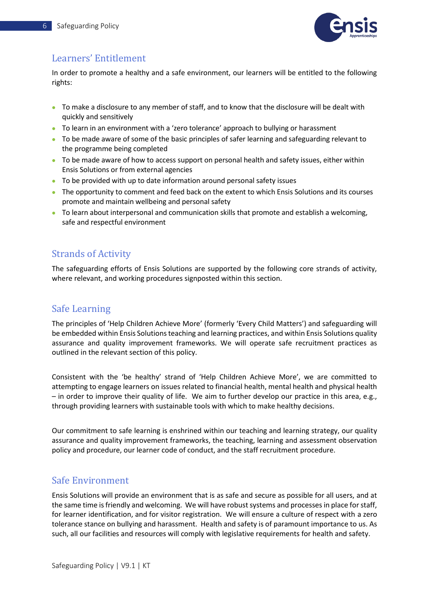

## <span id="page-6-0"></span>Learners' Entitlement

In order to promote a healthy and a safe environment, our learners will be entitled to the following rights:

- To make a disclosure to any member of staff, and to know that the disclosure will be dealt with quickly and sensitively
- To learn in an environment with a 'zero tolerance' approach to bullying or harassment
- To be made aware of some of the basic principles of safer learning and safeguarding relevant to the programme being completed
- To be made aware of how to access support on personal health and safety issues, either within Ensis Solutions or from external agencies
- To be provided with up to date information around personal safety issues
- The opportunity to comment and feed back on the extent to which Ensis Solutions and its courses promote and maintain wellbeing and personal safety
- To learn about interpersonal and communication skills that promote and establish a welcoming, safe and respectful environment

### <span id="page-6-1"></span>Strands of Activity

The safeguarding efforts of Ensis Solutions are supported by the following core strands of activity, where relevant, and working procedures signposted within this section.

### <span id="page-6-2"></span>Safe Learning

The principles of 'Help Children Achieve More' (formerly 'Every Child Matters') and safeguarding will be embedded within Ensis Solutions teaching and learning practices, and within Ensis Solutions quality assurance and quality improvement frameworks. We will operate safe recruitment practices as outlined in the relevant section of this policy.

Consistent with the 'be healthy' strand of 'Help Children Achieve More', we are committed to attempting to engage learners on issues related to financial health, mental health and physical health – in order to improve their quality of life. We aim to further develop our practice in this area, e.g., through providing learners with sustainable tools with which to make healthy decisions.

Our commitment to safe learning is enshrined within our teaching and learning strategy, our quality assurance and quality improvement frameworks, the teaching, learning and assessment observation policy and procedure, our learner code of conduct, and the staff recruitment procedure.

### <span id="page-6-3"></span>Safe Environment

Ensis Solutions will provide an environment that is as safe and secure as possible for all users, and at the same time is friendly and welcoming. We will have robust systems and processes in place for staff, for learner identification, and for visitor registration. We will ensure a culture of respect with a zero tolerance stance on bullying and harassment. Health and safety is of paramount importance to us. As such, all our facilities and resources will comply with legislative requirements for health and safety.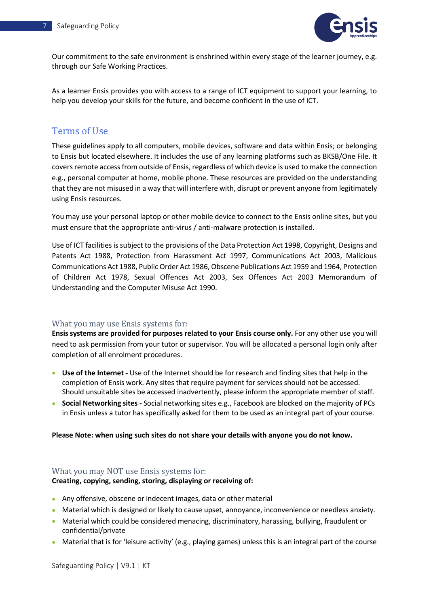

Our commitment to the safe environment is enshrined within every stage of the learner journey, e.g. through our Safe Working Practices.

As a learner Ensis provides you with access to a range of ICT equipment to support your learning, to help you develop your skills for the future, and become confident in the use of ICT.

### <span id="page-7-0"></span>Terms of Use

These guidelines apply to all computers, mobile devices, software and data within Ensis; or belonging to Ensis but located elsewhere. It includes the use of any learning platforms such as BKSB/One File. It covers remote access from outside of Ensis, regardless of which device is used to make the connection e.g., personal computer at home, mobile phone. These resources are provided on the understanding that they are not misused in a way that will interfere with, disrupt or prevent anyone from legitimately using Ensis resources.

You may use your personal laptop or other mobile device to connect to the Ensis online sites, but you must ensure that the appropriate anti-virus / anti-malware protection is installed.

Use of ICT facilities is subject to the provisions of the Data Protection Act 1998, Copyright, Designs and Patents Act 1988, Protection from Harassment Act 1997, Communications Act 2003, Malicious Communications Act 1988, Public Order Act 1986, Obscene Publications Act 1959 and 1964, Protection of Children Act 1978, Sexual Offences Act 2003, Sex Offences Act 2003 Memorandum of Understanding and the Computer Misuse Act 1990.

### <span id="page-7-1"></span>What you may use Ensis systems for:

**Ensis systems are provided for purposes related to your Ensis course only.** For any other use you will need to ask permission from your tutor or supervisor. You will be allocated a personal login only after completion of all enrolment procedures.

- **Use of the Internet -** Use of the Internet should be for research and finding sites that help in the completion of Ensis work. Any sites that require payment for services should not be accessed. Should unsuitable sites be accessed inadvertently, please inform the appropriate member of staff.
- **Social Networking sites -** Social networking sites e.g., Facebook are blocked on the majority of PCs in Ensis unless a tutor has specifically asked for them to be used as an integral part of your course.

#### **Please Note: when using such sites do not share your details with anyone you do not know.**

#### <span id="page-7-2"></span>What you may NOT use Ensis systems for:

#### **Creating, copying, sending, storing, displaying or receiving of:**

- Any offensive, obscene or indecent images, data or other material
- Material which is designed or likely to cause upset, annoyance, inconvenience or needless anxiety.
- Material which could be considered menacing, discriminatory, harassing, bullying, fraudulent or confidential/private
- Material that is for 'leisure activity' (e.g., playing games) unless this is an integral part of the course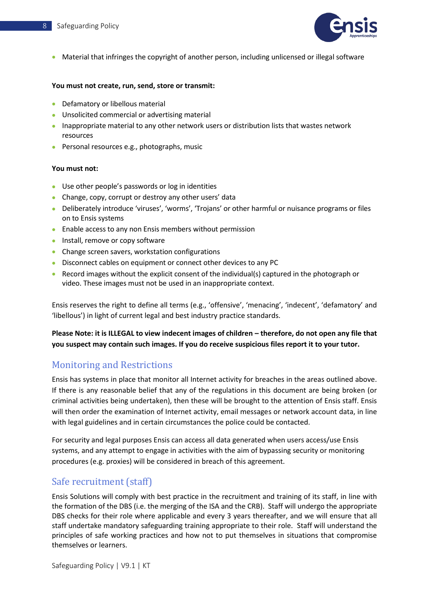

• Material that infringes the copyright of another person, including unlicensed or illegal software

#### **You must not create, run, send, store or transmit:**

- Defamatory or libellous material
- Unsolicited commercial or advertising material
- Inappropriate material to any other network users or distribution lists that wastes network resources
- Personal resources e.g., photographs, music

#### **You must not:**

- Use other people's passwords or log in identities
- Change, copy, corrupt or destroy any other users' data
- Deliberately introduce 'viruses', 'worms', 'Trojans' or other harmful or nuisance programs or files on to Ensis systems
- Enable access to any non Ensis members without permission
- Install, remove or copy software
- Change screen savers, workstation configurations
- Disconnect cables on equipment or connect other devices to any PC
- Record images without the explicit consent of the individual(s) captured in the photograph or video. These images must not be used in an inappropriate context.

Ensis reserves the right to define all terms (e.g., 'offensive', 'menacing', 'indecent', 'defamatory' and 'libellous') in light of current legal and best industry practice standards.

**Please Note: it is ILLEGAL to view indecent images of children – therefore, do not open any file that you suspect may contain such images. If you do receive suspicious files report it to your tutor.**

### <span id="page-8-0"></span>Monitoring and Restrictions

Ensis has systems in place that monitor all Internet activity for breaches in the areas outlined above. If there is any reasonable belief that any of the regulations in this document are being broken (or criminal activities being undertaken), then these will be brought to the attention of Ensis staff. Ensis will then order the examination of Internet activity, email messages or network account data, in line with legal guidelines and in certain circumstances the police could be contacted.

For security and legal purposes Ensis can access all data generated when users access/use Ensis systems, and any attempt to engage in activities with the aim of bypassing security or monitoring procedures (e.g. proxies) will be considered in breach of this agreement.

### <span id="page-8-1"></span>Safe recruitment (staff)

Ensis Solutions will comply with best practice in the recruitment and training of its staff, in line with the formation of the DBS (i.e. the merging of the ISA and the CRB). Staff will undergo the appropriate DBS checks for their role where applicable and every 3 years thereafter, and we will ensure that all staff undertake mandatory safeguarding training appropriate to their role. Staff will understand the principles of safe working practices and how not to put themselves in situations that compromise themselves or learners.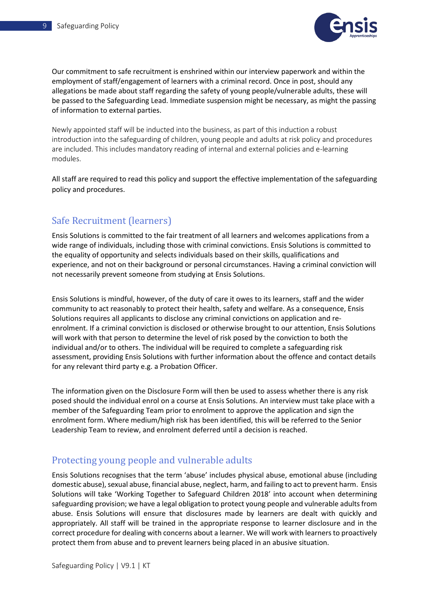

Our commitment to safe recruitment is enshrined within our interview paperwork and within the employment of staff/engagement of learners with a criminal record. Once in post, should any allegations be made about staff regarding the safety of young people/vulnerable adults, these will be passed to the Safeguarding Lead. Immediate suspension might be necessary, as might the passing of information to external parties.

Newly appointed staff will be inducted into the business, as part of this induction a robust introduction into the safeguarding of children, young people and adults at risk policy and procedures are included. This includes mandatory reading of internal and external policies and e-learning modules.

All staff are required to read this policy and support the effective implementation of the safeguarding policy and procedures.

### <span id="page-9-0"></span>Safe Recruitment (learners)

Ensis Solutions is committed to the fair treatment of all learners and welcomes applications from a wide range of individuals, including those with criminal convictions. Ensis Solutions is committed to the equality of opportunity and selects individuals based on their skills, qualifications and experience, and not on their background or personal circumstances. Having a criminal conviction will not necessarily prevent someone from studying at Ensis Solutions.

Ensis Solutions is mindful, however, of the duty of care it owes to its learners, staff and the wider community to act reasonably to protect their health, safety and welfare. As a consequence, Ensis Solutions requires all applicants to disclose any criminal convictions on application and reenrolment. If a criminal conviction is disclosed or otherwise brought to our attention, Ensis Solutions will work with that person to determine the level of risk posed by the conviction to both the individual and/or to others. The individual will be required to complete a safeguarding risk assessment, providing Ensis Solutions with further information about the offence and contact details for any relevant third party e.g. a Probation Officer.

The information given on the Disclosure Form will then be used to assess whether there is any risk posed should the individual enrol on a course at Ensis Solutions. An interview must take place with a member of the Safeguarding Team prior to enrolment to approve the application and sign the enrolment form. Where medium/high risk has been identified, this will be referred to the Senior Leadership Team to review, and enrolment deferred until a decision is reached.

### <span id="page-9-1"></span>Protecting young people and vulnerable adults

Ensis Solutions recognises that the term 'abuse' includes physical abuse, emotional abuse (including domestic abuse), sexual abuse, financial abuse, neglect, harm, and failing to act to prevent harm. Ensis Solutions will take 'Working Together to Safeguard Children 2018' into account when determining safeguarding provision; we have a legal obligation to protect young people and vulnerable adults from abuse. Ensis Solutions will ensure that disclosures made by learners are dealt with quickly and appropriately. All staff will be trained in the appropriate response to learner disclosure and in the correct procedure for dealing with concerns about a learner. We will work with learners to proactively protect them from abuse and to prevent learners being placed in an abusive situation.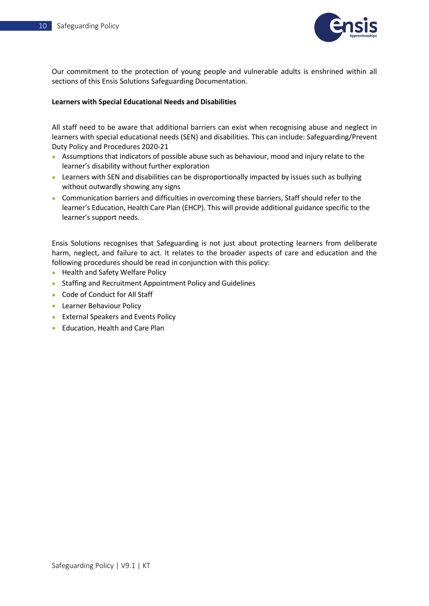

Our commitment to the protection of young people and vulnerable adults is enshrined within all sections of this Ensis Solutions Safeguarding Documentation.

#### **Learners with Special Educational Needs and Disabilities**

All staff need to be aware that additional barriers can exist when recognising abuse and neglect in learners with special educational needs (SEN) and disabilities. This can include: Safeguarding/Prevent Duty Policy and Procedures 2020-21

- Assumptions that indicators of possible abuse such as behaviour, mood and injury relate to the learner's disability without further exploration
- Learners with SEN and disabilities can be disproportionally impacted by issues such as bullying without outwardly showing any signs
- Communication barriers and difficulties in overcoming these barriers, Staff should refer to the learner's Education, Health Care Plan (EHCP). This will provide additional guidance specific to the learner's support needs.

Ensis Solutions recognises that Safeguarding is not just about protecting learners from deliberate harm, neglect, and failure to act. It relates to the broader aspects of care and education and the following procedures should be read in conjunction with this policy:

- Health and Safety Welfare Policy
- Staffing and Recruitment Appointment Policy and Guidelines
- Code of Conduct for All Staff
- Learner Behaviour Policy
- External Speakers and Events Policy
- Education, Health and Care Plan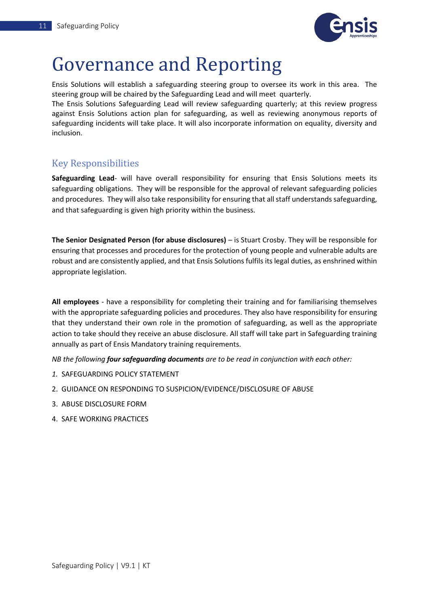

## <span id="page-11-0"></span>Governance and Reporting

Ensis Solutions will establish a safeguarding steering group to oversee its work in this area. The steering group will be chaired by the Safeguarding Lead and will meet quarterly.

The Ensis Solutions Safeguarding Lead will review safeguarding quarterly; at this review progress against Ensis Solutions action plan for safeguarding, as well as reviewing anonymous reports of safeguarding incidents will take place. It will also incorporate information on equality, diversity and inclusion.

### <span id="page-11-1"></span>Key Responsibilities

**Safeguarding Lead**- will have overall responsibility for ensuring that Ensis Solutions meets its safeguarding obligations. They will be responsible for the approval of relevant safeguarding policies and procedures. They will also take responsibility for ensuring that all staff understands safeguarding, and that safeguarding is given high priority within the business.

**The Senior Designated Person (for abuse disclosures)** – is Stuart Crosby. They will be responsible for ensuring that processes and procedures for the protection of young people and vulnerable adults are robust and are consistently applied, and that Ensis Solutions fulfils its legal duties, as enshrined within appropriate legislation.

**All employees** - have a responsibility for completing their training and for familiarising themselves with the appropriate safeguarding policies and procedures. They also have responsibility for ensuring that they understand their own role in the promotion of safeguarding, as well as the appropriate action to take should they receive an abuse disclosure. All staff will take part in Safeguarding training annually as part of Ensis Mandatory training requirements.

*NB the following four safeguarding documents are to be read in conjunction with each other:*

- *1.* SAFEGUARDING POLICY STATEMENT
- 2. GUIDANCE ON RESPONDING TO SUSPICION/EVIDENCE/DISCLOSURE OF ABUSE
- 3. ABUSE DISCLOSURE FORM
- 4. SAFE WORKING PRACTICES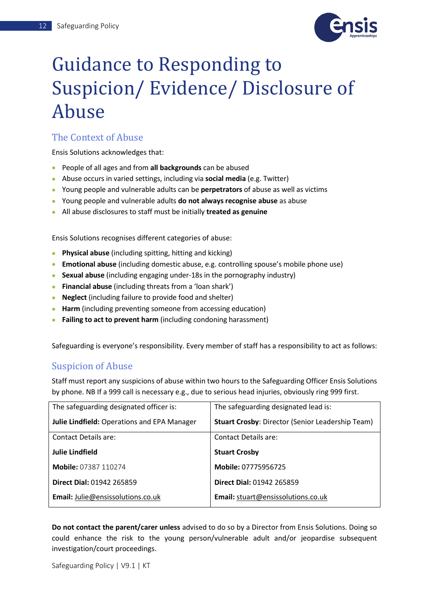

## <span id="page-12-0"></span>Guidance to Responding to Suspicion/ Evidence/ Disclosure of Abuse

### <span id="page-12-1"></span>The Context of Abuse

Ensis Solutions acknowledges that:

- People of all ages and from **all backgrounds** can be abused
- Abuse occurs in varied settings, including via **social media** (e.g. Twitter)
- Young people and vulnerable adults can be **perpetrators** of abuse as well as victims
- Young people and vulnerable adults **do not always recognise abuse** as abuse
- All abuse disclosures to staff must be initially **treated as genuine**

Ensis Solutions recognises different categories of abuse:

- **Physical abuse** (including spitting, hitting and kicking)
- **Emotional abuse** (including domestic abuse, e.g. controlling spouse's mobile phone use)
- **Sexual abuse** (including engaging under-18s in the pornography industry)
- **Financial abuse** (including threats from a 'loan shark')
- **Neglect** (including failure to provide food and shelter)
- **Harm** (including preventing someone from accessing education)
- **Failing to act to prevent harm** (including condoning harassment)

Safeguarding is everyone's responsibility. Every member of staff has a responsibility to act as follows:

### <span id="page-12-2"></span>Suspicion of Abuse

Staff must report any suspicions of abuse within two hours to the Safeguarding Officer Ensis Solutions by phone. NB If a 999 call is necessary e.g., due to serious head injuries, obviously ring 999 first.

| The safeguarding designated officer is:     | The safeguarding designated lead is:                    |  |  |
|---------------------------------------------|---------------------------------------------------------|--|--|
| Julie Lindfield: Operations and EPA Manager | <b>Stuart Crosby: Director (Senior Leadership Team)</b> |  |  |
| <b>Contact Details are:</b>                 | Contact Details are:                                    |  |  |
| <b>Julie Lindfield</b>                      | <b>Stuart Crosby</b>                                    |  |  |
| Mobile: 07387 110274                        | Mobile: 07775956725                                     |  |  |
| <b>Direct Dial: 01942 265859</b>            | <b>Direct Dial: 01942 265859</b>                        |  |  |
| <b>Email:</b> Julie@ensissolutions.co.uk    | Email: stuart@ensissolutions.co.uk                      |  |  |

**Do not contact the parent/carer unless** advised to do so by a Director from Ensis Solutions. Doing so could enhance the risk to the young person/vulnerable adult and/or jeopardise subsequent investigation/court proceedings.

Safeguarding Policy | V9.1 | KT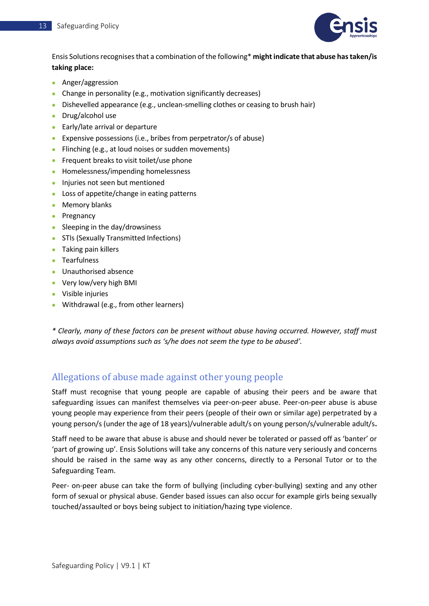

Ensis Solutions recognises that a combination of the following\* **might indicate that abuse has taken/is taking place:**

- Anger/aggression
- Change in personality (e.g., motivation significantly decreases)
- Dishevelled appearance (e.g., unclean-smelling clothes or ceasing to brush hair)
- Drug/alcohol use
- Early/late arrival or departure
- Expensive possessions (i.e., bribes from perpetrator/s of abuse)
- Flinching (e.g., at loud noises or sudden movements)
- Frequent breaks to visit toilet/use phone
- Homelessness/impending homelessness
- Injuries not seen but mentioned
- Loss of appetite/change in eating patterns
- Memory blanks
- Pregnancy
- Sleeping in the day/drowsiness
- STIs (Sexually Transmitted Infections)
- Taking pain killers
- Tearfulness
- Unauthorised absence
- Very low/very high BMI
- Visible injuries
- Withdrawal (e.g., from other learners)

*\* Clearly, many of these factors can be present without abuse having occurred. However, staff must always avoid assumptions such as 's/he does not seem the type to be abused'.*

### <span id="page-13-0"></span>Allegations of abuse made against other young people

Staff must recognise that young people are capable of abusing their peers and be aware that safeguarding issues can manifest themselves via peer-on-peer abuse. Peer-on-peer abuse is abuse young people may experience from their peers (people of their own or similar age) perpetrated by a young person/s (under the age of 18 years)/vulnerable adult/s on young person/s/vulnerable adult/s**.**

Staff need to be aware that abuse is abuse and should never be tolerated or passed off as 'banter' or 'part of growing up'. Ensis Solutions will take any concerns of this nature very seriously and concerns should be raised in the same way as any other concerns, directly to a Personal Tutor or to the Safeguarding Team.

Peer- on-peer abuse can take the form of bullying (including cyber-bullying) sexting and any other form of sexual or physical abuse. Gender based issues can also occur for example girls being sexually touched/assaulted or boys being subject to initiation/hazing type violence.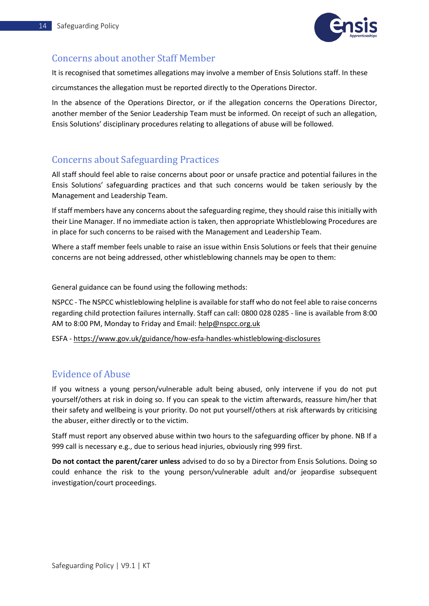

### <span id="page-14-0"></span>Concerns about another Staff Member

It is recognised that sometimes allegations may involve a member of Ensis Solutions staff. In these

circumstances the allegation must be reported directly to the Operations Director.

In the absence of the Operations Director, or if the allegation concerns the Operations Director, another member of the Senior Leadership Team must be informed. On receipt of such an allegation, Ensis Solutions' disciplinary procedures relating to allegations of abuse will be followed.

### <span id="page-14-1"></span>Concerns about Safeguarding Practices

All staff should feel able to raise concerns about poor or unsafe practice and potential failures in the Ensis Solutions' safeguarding practices and that such concerns would be taken seriously by the Management and Leadership Team.

If staff members have any concerns about the safeguarding regime, they should raise this initially with their Line Manager. If no immediate action is taken, then appropriate Whistleblowing Procedures are in place for such concerns to be raised with the Management and Leadership Team.

Where a staff member feels unable to raise an issue within Ensis Solutions or feels that their genuine concerns are not being addressed, other whistleblowing channels may be open to them:

General guidance can be found using the following methods:

NSPCC - The NSPCC whistleblowing helpline is available for staff who do not feel able to raise concerns regarding child protection failures internally. Staff can call: 0800 028 0285 - line is available from 8:00 AM to 8:00 PM, Monday to Friday and Email: [help@nspcc.org.uk](mailto:help@nspcc.org.uk)

ESFA - <https://www.gov.uk/guidance/how-esfa-handles-whistleblowing-disclosures>

### <span id="page-14-2"></span>Evidence of Abuse

If you witness a young person/vulnerable adult being abused, only intervene if you do not put yourself/others at risk in doing so. If you can speak to the victim afterwards, reassure him/her that their safety and wellbeing is your priority. Do not put yourself/others at risk afterwards by criticising the abuser, either directly or to the victim.

Staff must report any observed abuse within two hours to the safeguarding officer by phone. NB If a 999 call is necessary e.g., due to serious head injuries, obviously ring 999 first.

**Do not contact the parent/carer unless** advised to do so by a Director from Ensis Solutions. Doing so could enhance the risk to the young person/vulnerable adult and/or jeopardise subsequent investigation/court proceedings.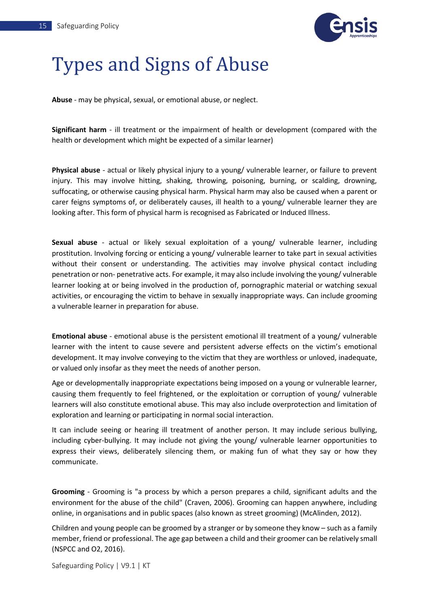

## <span id="page-15-0"></span>Types and Signs of Abuse

**Abuse** - may be physical, sexual, or emotional abuse, or neglect.

**Significant harm** - ill treatment or the impairment of health or development (compared with the health or development which might be expected of a similar learner)

**Physical abuse** - actual or likely physical injury to a young/ vulnerable learner, or failure to prevent injury. This may involve hitting, shaking, throwing, poisoning, burning, or scalding, drowning, suffocating, or otherwise causing physical harm. Physical harm may also be caused when a parent or carer feigns symptoms of, or deliberately causes, ill health to a young/ vulnerable learner they are looking after. This form of physical harm is recognised as Fabricated or Induced Illness.

**Sexual abuse** - actual or likely sexual exploitation of a young/ vulnerable learner, including prostitution. Involving forcing or enticing a young/ vulnerable learner to take part in sexual activities without their consent or understanding. The activities may involve physical contact including penetration or non- penetrative acts. For example, it may also include involving the young/ vulnerable learner looking at or being involved in the production of, pornographic material or watching sexual activities, or encouraging the victim to behave in sexually inappropriate ways. Can include grooming a vulnerable learner in preparation for abuse.

**Emotional abuse** - emotional abuse is the persistent emotional ill treatment of a young/ vulnerable learner with the intent to cause severe and persistent adverse effects on the victim's emotional development. It may involve conveying to the victim that they are worthless or unloved, inadequate, or valued only insofar as they meet the needs of another person.

Age or developmentally inappropriate expectations being imposed on a young or vulnerable learner, causing them frequently to feel frightened, or the exploitation or corruption of young/ vulnerable learners will also constitute emotional abuse. This may also include overprotection and limitation of exploration and learning or participating in normal social interaction.

It can include seeing or hearing ill treatment of another person. It may include serious bullying, including cyber-bullying. It may include not giving the young/ vulnerable learner opportunities to express their views, deliberately silencing them, or making fun of what they say or how they communicate.

**Grooming** - Grooming is "a process by which a person prepares a child, significant adults and the environment for the abuse of the child" (Craven, 2006). Grooming can happen anywhere, including online, in organisations and in public spaces (also known as street grooming) (McAlinden, 2012).

Children and young people can be groomed by a stranger or by someone they know – such as a family member, friend or professional. The age gap between a child and their groomer can be relatively small (NSPCC and O2, 2016).

Safeguarding Policy | V9.1 | KT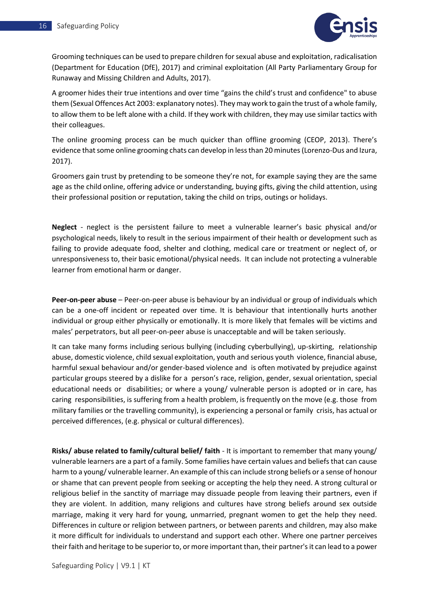

Grooming techniques can be used to prepare children for sexual abuse and exploitation, radicalisation (Department for Education (DfE), 2017) and criminal exploitation (All Party Parliamentary Group for Runaway and Missing Children and Adults, 2017).

A groomer hides their true intentions and over time "gains the child's trust and confidence" to abuse them (Sexual Offences Act 2003: explanatory notes). They may work to gain the trust of a whole family, to allow them to be left alone with a child. If they work with children, they may use similar tactics with their colleagues.

The online grooming process can be much quicker than offline grooming (CEOP, 2013). There's evidence that some online grooming chats can develop in less than 20 minutes (Lorenzo-Dus and Izura, 2017).

Groomers gain trust by pretending to be someone they're not, for example saying they are the same age as the child online, offering advice or understanding, buying gifts, giving the child attention, using their professional position or reputation, taking the child on trips, outings or holidays.

**Neglect** - neglect is the persistent failure to meet a vulnerable learner's basic physical and/or psychological needs, likely to result in the serious impairment of their health or development such as failing to provide adequate food, shelter and clothing, medical care or treatment or neglect of, or unresponsiveness to, their basic emotional/physical needs. It can include not protecting a vulnerable learner from emotional harm or danger.

**Peer-on-peer abuse** – Peer-on-peer abuse is behaviour by an individual or group of individuals which can be a one-off incident or repeated over time. It is behaviour that intentionally hurts another individual or group either physically or emotionally. It is more likely that females will be victims and males' perpetrators, but all peer-on-peer abuse is unacceptable and will be taken seriously.

It can take many forms including serious bullying (including cyberbullying), up-skirting, relationship abuse, domestic violence, child sexual exploitation, youth and serious youth violence, financial abuse, harmful sexual behaviour and/or gender-based violence and is often motivated by prejudice against particular groups steered by a dislike for a person's race, religion, gender, sexual orientation, special educational needs or disabilities; or where a young/ vulnerable person is adopted or in care, has caring responsibilities, is suffering from a health problem, is frequently on the move (e.g. those from military families or the travelling community), is experiencing a personal or family crisis, has actual or perceived differences, (e.g. physical or cultural differences).

**Risks/ abuse related to family/cultural belief/ faith** - It is important to remember that many young/ vulnerable learners are a part of a family. Some families have certain values and beliefs that can cause harm to a young/ vulnerable learner. An example of this can include strong beliefs or a sense of honour or shame that can prevent people from seeking or accepting the help they need. A strong cultural or religious belief in the sanctity of marriage may dissuade people from leaving their partners, even if they are violent. In addition, many religions and cultures have strong beliefs around sex outside marriage, making it very hard for young, unmarried, pregnant women to get the help they need. Differences in culture or religion between partners, or between parents and children, may also make it more difficult for individuals to understand and support each other. Where one partner perceives their faith and heritage to be superior to, or more important than, their partner's it can lead to a power

Safeguarding Policy | V9.1 | KT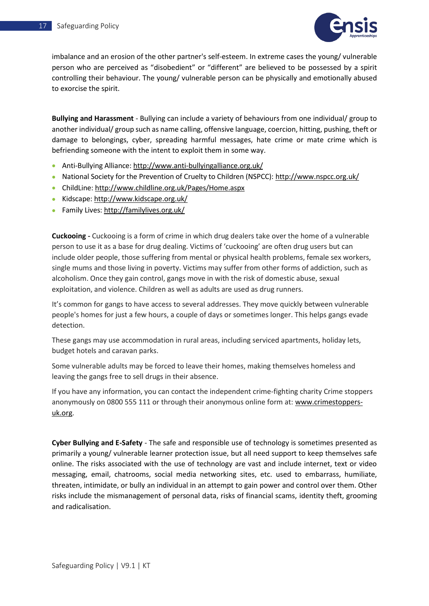

imbalance and an erosion of the other partner's self-esteem. In extreme cases the young/ vulnerable person who are perceived as "disobedient" or "different" are believed to be possessed by a spirit controlling their behaviour. The young/ vulnerable person can be physically and emotionally abused to exorcise the spirit.

**Bullying and Harassment** - Bullying can include a variety of behaviours from one individual/ group to another individual/ group such as name calling, offensive language, coercion, hitting, pushing, theft or damage to belongings, cyber, spreading harmful messages, hate crime or mate crime which is befriending someone with the intent to exploit them in some way.

- Anti-Bullying Alliance: http://www.anti-bullyingalliance.org.uk/
- National Society for the Prevention of Cruelty to Children (NSPCC): http://www.nspcc.org.uk/
- ChildLine:<http://www.childline.org.uk/Pages/Home.aspx>
- Kidscape[: http://www.kidscape.org.uk/](http://www.kidscape.org.uk/)
- Family Lives[: http://familylives.org.uk/](http://familylives.org.uk/)

**Cuckooing -** Cuckooing is a form of crime in which drug dealers take over the home of a vulnerable person to use it as a base for drug dealing. Victims of 'cuckooing' are often drug users but can include older people, those suffering from mental or physical health problems, female sex workers, single mums and those living in poverty. Victims may suffer from other forms of addiction, such as alcoholism. Once they gain control, gangs move in with the risk of domestic abuse, sexual exploitation, and violence. Children as well as adults are used as drug runners.

It's common for gangs to have access to several addresses. They move quickly between vulnerable people's homes for just a few hours, a couple of days or sometimes longer. This helps gangs evade detection.

These gangs may use accommodation in rural areas, including serviced apartments, holiday lets, budget hotels and caravan parks.

Some vulnerable adults may be forced to leave their homes, making themselves homeless and leaving the gangs free to sell drugs in their absence.

If you have any information, you can contact the independent crime-fighting charity Crime stoppers anonymously on 0800 555 111 or through their anonymous online form at[: www.crimestoppers](http://www.crimestoppers-uk.org/)[uk.org.](http://www.crimestoppers-uk.org/)

**Cyber Bullying and E-Safety** - The safe and responsible use of technology is sometimes presented as primarily a young/ vulnerable learner protection issue, but all need support to keep themselves safe online. The risks associated with the use of technology are vast and include internet, text or video messaging, email, chatrooms, social media networking sites, etc. used to embarrass, humiliate, threaten, intimidate, or bully an individual in an attempt to gain power and control over them. Other risks include the mismanagement of personal data, risks of financial scams, identity theft, grooming and radicalisation.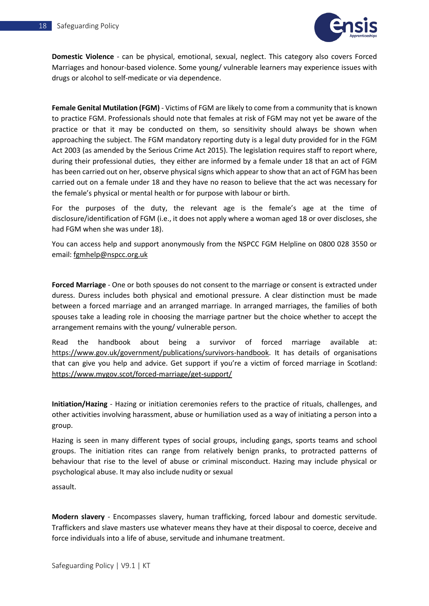

**Domestic Violence** - can be physical, emotional, sexual, neglect. This category also covers Forced Marriages and honour-based violence. Some young/ vulnerable learners may experience issues with drugs or alcohol to self-medicate or via dependence.

**Female Genital Mutilation (FGM)** - Victims of FGM are likely to come from a community that is known to practice FGM. Professionals should note that females at risk of FGM may not yet be aware of the practice or that it may be conducted on them, so sensitivity should always be shown when approaching the subject. The FGM mandatory reporting duty is a legal duty provided for in the FGM Act 2003 (as amended by the Serious Crime Act 2015). The legislation requires staff to report where, during their professional duties, they either are informed by a female under 18 that an act of FGM has been carried out on her, observe physical signs which appear to show that an act of FGM has been carried out on a female under 18 and they have no reason to believe that the act was necessary for the female's physical or mental health or for purpose with labour or birth.

For the purposes of the duty, the relevant age is the female's age at the time of disclosure/identification of FGM (i.e., it does not apply where a woman aged 18 or over discloses, she had FGM when she was under 18).

You can access help and support anonymously from the NSPCC FGM Helpline on 0800 028 3550 or email: [fgmhelp@nspcc.org.uk](mailto:fgmhelp@nspcc.org.uk)

**Forced Marriage** - One or both spouses do not consent to the marriage or consent is extracted under duress. Duress includes both physical and emotional pressure. A clear distinction must be made between a forced marriage and an arranged marriage. In arranged marriages, the families of both spouses take a leading role in choosing the marriage partner but the choice whether to accept the arrangement remains with the young/ vulnerable person.

Read the handbook about being a survivor of forced marriage available at: [https://www.gov.uk/government/publications/survivors-handbook.](https://www.gov.uk/government/publications/survivors-handbook) It has details of organisations that can give you help and advice. Get support if you're a victim of forced marriage in Scotland: <https://www.mygov.scot/forced-marriage/get-support/>

**Initiation/Hazing** - Hazing or initiation ceremonies refers to the practice of rituals, challenges, and other activities involving harassment, abuse or humiliation used as a way of initiating a person into a group.

Hazing is seen in many different types of social groups, including gangs, sports teams and school groups. The initiation rites can range from relatively benign pranks, to protracted patterns of behaviour that rise to the level of abuse or criminal misconduct. Hazing may include physical or psychological abuse. It may also include nudity or sexual

assault.

**Modern slavery** - Encompasses slavery, human trafficking, forced labour and domestic servitude. Traffickers and slave masters use whatever means they have at their disposal to coerce, deceive and force individuals into a life of abuse, servitude and inhumane treatment.

Safeguarding Policy | V9.1 | KT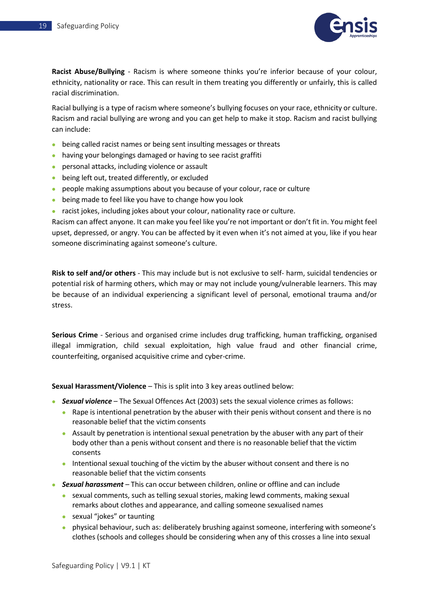

**Racist Abuse/Bullying** - Racism is where someone thinks you're inferior because of your colour, ethnicity, nationality or race. This can result in them treating you differently or unfairly, this is called racial discrimination.

Racial bullying is a type of racism where someone's bullying focuses on your race, ethnicity or culture. Racism and racial bullying are wrong and you can get help to make it stop. Racism and racist bullying can include:

- being called racist names or being sent insulting messages or threats
- having your belongings damaged or having to see racist graffiti
- personal attacks, including violence or assault
- being left out, treated differently, or excluded
- people making assumptions about you because of your colour, race or culture
- being made to feel like you have to change how you look
- racist jokes, including jokes about your colour, nationality race or culture.

Racism can affect anyone. It can make you feel like you're not important or don't fit in. You might feel upset, depressed, or angry. You can be affected by it even when it's not aimed at you, like if you hear someone discriminating against someone's culture.

**Risk to self and/or others** - This may include but is not exclusive to self- harm, suicidal tendencies or potential risk of harming others, which may or may not include young/vulnerable learners. This may be because of an individual experiencing a significant level of personal, emotional trauma and/or stress.

**Serious Crime** - Serious and organised crime includes drug trafficking, human trafficking, organised illegal immigration, child sexual exploitation, high value fraud and other financial crime, counterfeiting, organised acquisitive crime and cyber-crime.

**Sexual Harassment/Violence** – This is split into 3 key areas outlined below:

- *Sexual violence* The Sexual Offences Act (2003) sets the sexual violence crimes as follows:
	- Rape is intentional penetration by the abuser with their penis without consent and there is no reasonable belief that the victim consents
	- Assault by penetration is intentional sexual penetration by the abuser with any part of their body other than a penis without consent and there is no reasonable belief that the victim consents
	- Intentional sexual touching of the victim by the abuser without consent and there is no reasonable belief that the victim consents
- *Sexual harassment* This can occur between children, online or offline and can include
	- sexual comments, such as telling sexual stories, making lewd comments, making sexual remarks about clothes and appearance, and calling someone sexualised names
	- sexual "jokes" or taunting
	- physical behaviour, such as: deliberately brushing against someone, interfering with someone's clothes (schools and colleges should be considering when any of this crosses a line into sexual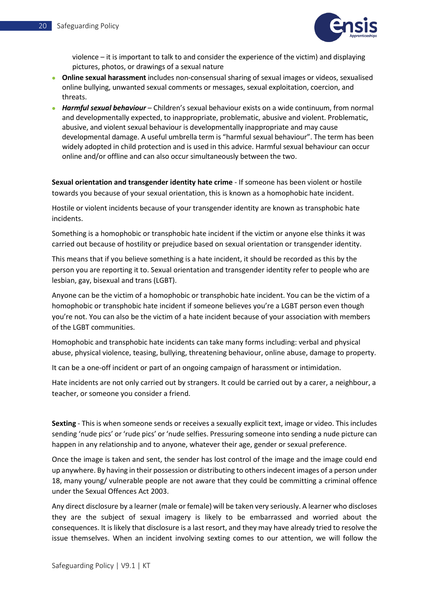

violence – it is important to talk to and consider the experience of the victim) and displaying pictures, photos, or drawings of a sexual nature

- **Online sexual harassment** includes non-consensual sharing of sexual images or videos, sexualised online bullying, unwanted sexual comments or messages, sexual exploitation, coercion, and threats.
- *Harmful sexual behaviour* Children's sexual behaviour exists on a wide continuum, from normal and developmentally expected, to inappropriate, problematic, abusive and violent. Problematic, abusive, and violent sexual behaviour is developmentally inappropriate and may cause developmental damage. A useful umbrella term is "harmful sexual behaviour". The term has been widely adopted in child protection and is used in this advice. Harmful sexual behaviour can occur online and/or offline and can also occur simultaneously between the two.

**Sexual orientation and transgender identity hate crime** - If someone has been violent or hostile towards you because of your sexual orientation, this is known as a homophobic hate incident.

Hostile or violent incidents because of your transgender identity are known as transphobic hate incidents.

Something is a homophobic or transphobic hate incident if the victim or anyone else thinks it was carried out because of hostility or prejudice based on sexual orientation or transgender identity.

This means that if you believe something is a hate incident, it should be recorded as this by the person you are reporting it to. Sexual orientation and transgender identity refer to people who are lesbian, gay, bisexual and trans (LGBT).

Anyone can be the victim of a homophobic or transphobic hate incident. You can be the victim of a homophobic or transphobic hate incident if someone believes you're a LGBT person even though you're not. You can also be the victim of a hate incident because of your association with members of the LGBT communities.

Homophobic and transphobic hate incidents can take many forms including: verbal and physical abuse, physical violence, teasing, bullying, threatening behaviour, online abuse, damage to property.

It can be a one-off incident or part of an ongoing campaign of harassment or intimidation.

Hate incidents are not only carried out by strangers. It could be carried out by a carer, a neighbour, a teacher, or someone you consider a friend.

**Sexting** - This is when someone sends or receives a sexually explicit text, image or video. This includes sending 'nude pics' or 'rude pics' or 'nude selfies. Pressuring someone into sending a nude picture can happen in any relationship and to anyone, whatever their age, gender or sexual preference.

Once the image is taken and sent, the sender has lost control of the image and the image could end up anywhere. By having in their possession or distributing to others indecent images of a person under 18, many young/ vulnerable people are not aware that they could be committing a criminal offence under the Sexual Offences Act 2003.

Any direct disclosure by a learner (male or female) will be taken very seriously. A learner who discloses they are the subject of sexual imagery is likely to be embarrassed and worried about the consequences. It is likely that disclosure is a last resort, and they may have already tried to resolve the issue themselves. When an incident involving sexting comes to our attention, we will follow the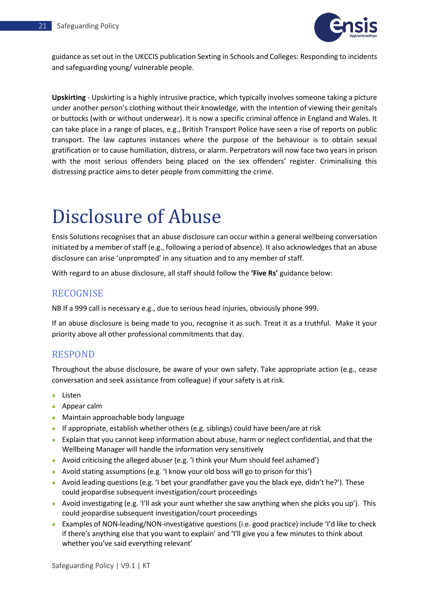

guidance as set out in the UKCCIS publication Sexting in Schools and Colleges: Responding to incidents and safeguarding young/ vulnerable people.

**Upskirting** - Upskirting is a highly intrusive practice, which typically involves someone taking a picture under another person's clothing without their knowledge, with the intention of viewing their genitals or buttocks (with or without underwear). It is now a specific criminal offence in England and Wales. It can take place in a range of places, e.g., British Transport Police have seen a rise of reports on public transport. The law captures instances where the purpose of the behaviour is to obtain sexual gratification or to cause humiliation, distress, or alarm. Perpetrators will now face two years in prison with the most serious offenders being placed on the sex offenders' register. Criminalising this distressing practice aims to deter people from committing the crime.

## <span id="page-21-0"></span>Disclosure of Abuse

Ensis Solutions recognises that an abuse disclosure can occur within a general wellbeing conversation initiated by a member of staff (e.g., following a period of absence). It also acknowledges that an abuse disclosure can arise 'unprompted' in any situation and to any member of staff.

With regard to an abuse disclosure, all staff should follow the **'Five Rs'** guidance below:

### <span id="page-21-1"></span>RECOGNISE

NB If a 999 call is necessary e.g., due to serious head injuries, obviously phone 999.

If an abuse disclosure is being made to you, recognise it as such. Treat it as a truthful. Make it your priority above all other professional commitments that day.

### <span id="page-21-2"></span>RESPOND

Throughout the abuse disclosure, be aware of your own safety. Take appropriate action (e.g., cease conversation and seek assistance from colleague) if your safety is at risk.

- Listen
- Appear calm
- Maintain approachable body language
- If appropriate, establish whether others (e.g. siblings) could have been/are at risk
- Explain that you cannot keep information about abuse, harm or neglect confidential, and that the Wellbeing Manager will handle the information very sensitively
- Avoid criticising the alleged abuser (e.g. 'I think your Mum should feel ashamed')
- Avoid stating assumptions (e.g. 'I know your old boss will go to prison for this')
- Avoid leading questions (e.g. 'I bet your grandfather gave you the black eye, didn't he?'). These could jeopardise subsequent investigation/court proceedings
- Avoid investigating (e.g. 'I'll ask your aunt whether she saw anything when she picks you up'). This could jeopardise subsequent investigation/court proceedings
- Examples of NON-leading/NON-investigative questions (i.e. good practice) include 'I'd like to check if there's anything else that you want to explain' and 'I'll give you a few minutes to think about whether you've said everything relevant'

Safeguarding Policy | V9.1 | KT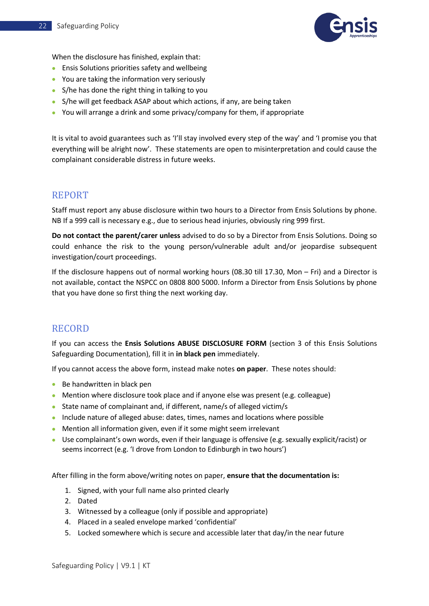

When the disclosure has finished, explain that:

- Ensis Solutions priorities safety and wellbeing
- You are taking the information very seriously
- S/he has done the right thing in talking to you
- S/he will get feedback ASAP about which actions, if any, are being taken
- You will arrange a drink and some privacy/company for them, if appropriate

It is vital to avoid guarantees such as 'I'll stay involved every step of the way' and 'I promise you that everything will be alright now'. These statements are open to misinterpretation and could cause the complainant considerable distress in future weeks.

### <span id="page-22-0"></span>REPORT

Staff must report any abuse disclosure within two hours to a Director from Ensis Solutions by phone. NB If a 999 call is necessary e.g., due to serious head injuries, obviously ring 999 first.

**Do not contact the parent/carer unless** advised to do so by a Director from Ensis Solutions. Doing so could enhance the risk to the young person/vulnerable adult and/or jeopardise subsequent investigation/court proceedings.

If the disclosure happens out of normal working hours (08.30 till 17.30, Mon – Fri) and a Director is not available, contact the NSPCC on 0808 800 5000. Inform a Director from Ensis Solutions by phone that you have done so first thing the next working day.

### <span id="page-22-1"></span>RECORD

If you can access the **Ensis Solutions ABUSE DISCLOSURE FORM** (section 3 of this Ensis Solutions Safeguarding Documentation), fill it in **in black pen** immediately.

If you cannot access the above form, instead make notes **on paper**. These notes should:

- Be handwritten in black pen
- Mention where disclosure took place and if anyone else was present (e.g. colleague)
- State name of complainant and, if different, name/s of alleged victim/s
- Include nature of alleged abuse: dates, times, names and locations where possible
- Mention all information given, even if it some might seem irrelevant
- Use complainant's own words, even if their language is offensive (e.g. sexually explicit/racist) or seems incorrect (e.g. 'I drove from London to Edinburgh in two hours')

After filling in the form above/writing notes on paper, **ensure that the documentation is:**

- 1. Signed, with your full name also printed clearly
- 2. Dated
- 3. Witnessed by a colleague (only if possible and appropriate)
- 4. Placed in a sealed envelope marked 'confidential'
- 5. Locked somewhere which is secure and accessible later that day/in the near future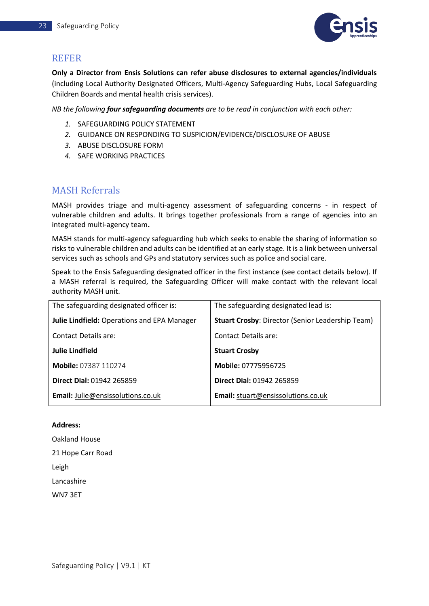

### <span id="page-23-0"></span>REFER

**Only a Director from Ensis Solutions can refer abuse disclosures to external agencies/individuals** (including Local Authority Designated Officers, Multi-Agency Safeguarding Hubs, Local Safeguarding Children Boards and mental health crisis services).

*NB the following four safeguarding documents are to be read in conjunction with each other:*

- *1.* SAFEGUARDING POLICY STATEMENT
- *2.* GUIDANCE ON RESPONDING TO SUSPICION/EVIDENCE/DISCLOSURE OF ABUSE
- *3.* ABUSE DISCLOSURE FORM
- *4.* SAFE WORKING PRACTICES

### <span id="page-23-1"></span>MASH Referrals

MASH provides triage and multi-agency assessment of safeguarding concerns - in respect of vulnerable children and adults. It brings together professionals from a range of agencies into an integrated multi-agency team**.**

MASH stands for multi-agency safeguarding hub which seeks to enable the sharing of information so risks to vulnerable children and adults can be identified at an early stage. It is a link between universal services such as schools and GPs and statutory services such as police and social care.

Speak to the Ensis Safeguarding designated officer in the first instance (see contact details below). If a MASH referral is required, the Safeguarding Officer will make contact with the relevant local authority MASH unit.

| The safeguarding designated officer is:     | The safeguarding designated lead is:                    |  |  |
|---------------------------------------------|---------------------------------------------------------|--|--|
| Julie Lindfield: Operations and EPA Manager | <b>Stuart Crosby: Director (Senior Leadership Team)</b> |  |  |
| Contact Details are:                        | Contact Details are:                                    |  |  |
| <b>Julie Lindfield</b>                      | <b>Stuart Crosby</b>                                    |  |  |
| <b>Mobile: 07387 110274</b>                 | Mobile: 07775956725                                     |  |  |
| Direct Dial: 01942 265859                   | <b>Direct Dial: 01942 265859</b>                        |  |  |
| Email: Julie@ensissolutions.co.uk           | Email: stuart@ensissolutions.co.uk                      |  |  |

### **Address:**

Oakland House 21 Hope Carr Road Leigh Lancashire

WN7 3ET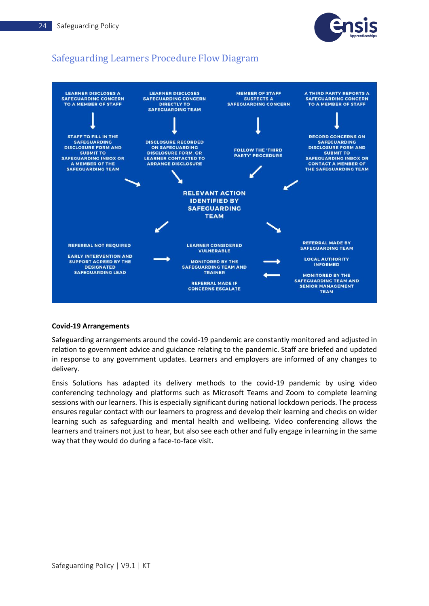

## <span id="page-24-0"></span>Safeguarding Learners Procedure Flow Diagram



#### **Covid-19 Arrangements**

Safeguarding arrangements around the covid-19 pandemic are constantly monitored and adjusted in relation to government advice and guidance relating to the pandemic. Staff are briefed and updated in response to any government updates. Learners and employers are informed of any changes to delivery.

Ensis Solutions has adapted its delivery methods to the covid-19 pandemic by using video conferencing technology and platforms such as Microsoft Teams and Zoom to complete learning sessions with our learners. This is especially significant during national lockdown periods. The process ensures regular contact with our learners to progress and develop their learning and checks on wider learning such as safeguarding and mental health and wellbeing. Video conferencing allows the learners and trainers not just to hear, but also see each other and fully engage in learning in the same way that they would do during a face-to-face visit.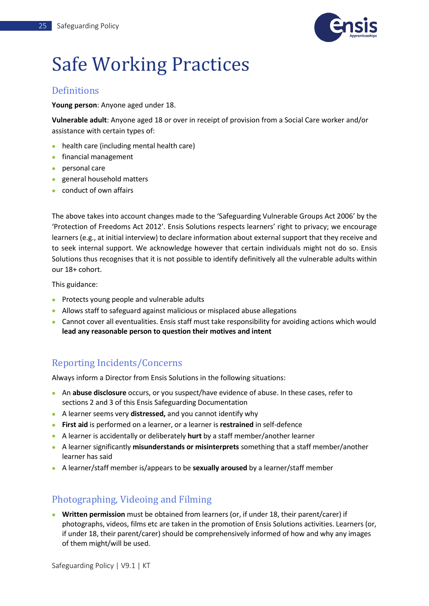

## <span id="page-25-0"></span>Safe Working Practices

### <span id="page-25-1"></span>Definitions

**Young person**: Anyone aged under 18.

**Vulnerable adult**: Anyone aged 18 or over in receipt of provision from a Social Care worker and/or assistance with certain types of:

- health care (including mental health care)
- financial management
- personal care
- general household matters
- conduct of own affairs

The above takes into account changes made to the 'Safeguarding Vulnerable Groups Act 2006' by the 'Protection of Freedoms Act 2012'. Ensis Solutions respects learners' right to privacy; we encourage learners (e.g., at initial interview) to declare information about external support that they receive and to seek internal support. We acknowledge however that certain individuals might not do so. Ensis Solutions thus recognises that it is not possible to identify definitively all the vulnerable adults within our 18+ cohort.

This guidance:

- Protects young people and vulnerable adults
- Allows staff to safeguard against malicious or misplaced abuse allegations
- Cannot cover all eventualities. Ensis staff must take responsibility for avoiding actions which would **lead any reasonable person to question their motives and intent**

## <span id="page-25-2"></span>Reporting Incidents/Concerns

<span id="page-25-3"></span>Always inform a Director from Ensis Solutions in the following situations:

- An **abuse disclosure** occurs, or you suspect/have evidence of abuse. In these cases, refer to sections 2 and 3 of this Ensis Safeguarding Documentation
- A learner seems very **distressed,** and you cannot identify why
- **First aid** is performed on a learner, or a learner is **restrained** in self-defence
- A learner is accidentally or deliberately **hurt** by a staff member/another learner
- A learner significantly **misunderstands or misinterprets** something that a staff member/another learner has said
- A learner/staff member is/appears to be **sexually aroused** by a learner/staff member

### <span id="page-25-4"></span>Photographing, Videoing and Filming

• **Written permission** must be obtained from learners (or, if under 18, their parent/carer) if photographs, videos, films etc are taken in the promotion of Ensis Solutions activities. Learners (or, if under 18, their parent/carer) should be comprehensively informed of how and why any images of them might/will be used.

Safeguarding Policy | V9.1 | KT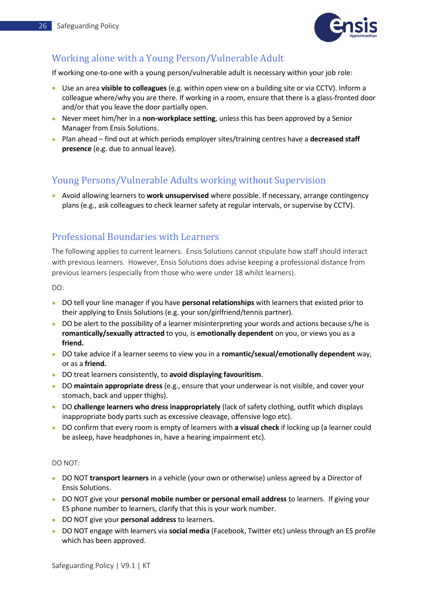

## <span id="page-26-0"></span>Working alone with a Young Person/Vulnerable Adult

If working one-to-one with a young person/vulnerable adult is necessary within your job role:

- Use an area **visible to colleagues** (e.g. within open view on a building site or via CCTV). Inform a colleague where/why you are there. If working in a room, ensure that there is a glass-fronted door and/or that you leave the door partially open.
- Never meet him/her in a **non-workplace setting**, unless this has been approved by a Senior Manager from Ensis Solutions.
- Plan ahead find out at which periods employer sites/training centres have a **decreased staff presence** (e.g. due to annual leave).

### <span id="page-26-1"></span>Young Persons/Vulnerable Adults working without Supervision

• Avoid allowing learners to **work unsupervised** where possible. If necessary, arrange contingency plans (e.g., ask colleagues to check learner safety at regular intervals, or supervise by CCTV).

### <span id="page-26-2"></span>Professional Boundaries with Learners

The following applies to current learners. Ensis Solutions cannot stipulate how staff should interact with previous learners. However, Ensis Solutions does advise keeping a professional distance from previous learners (especially from those who were under 18 whilst learners).

DO:

- DO tell your line manager if you have **personal relationships** with learners that existed prior to their applying to Ensis Solutions (e.g. your son/girlfriend/tennis partner).
- DO be alert to the possibility of a learner misinterpreting your words and actions because s/he is **romantically/sexually attracted** to you, is **emotionally dependent** on you, or views you as a **friend.**
- DO take advice if a learner seems to view you in a **romantic/sexual/emotionally dependent** way, or as a **friend.**
- DO treat learners consistently, to **avoid displaying favouritism**.
- DO **maintain appropriate dress** (e.g., ensure that your underwear is not visible, and cover your stomach, back and upper thighs).
- DO **challenge learners who dress inappropriately** (lack of safety clothing, outfit which displays inappropriate body parts such as excessive cleavage, offensive logo etc).
- DO confirm that every room is empty of learners with **a visual check** if locking up (a learner could be asleep, have headphones in, have a hearing impairment etc).

#### DO NOT:

- DO NOT **transport learners** in a vehicle (your own or otherwise) unless agreed by a Director of Ensis Solutions.
- DO NOT give your **personal mobile number or personal email address** to learners. If giving your ES phone number to learners, clarify that this is your work number.
- DO NOT give your **personal address** to learners.
- DO NOT engage with learners via **social media** (Facebook, Twitter etc) unless through an ES profile which has been approved.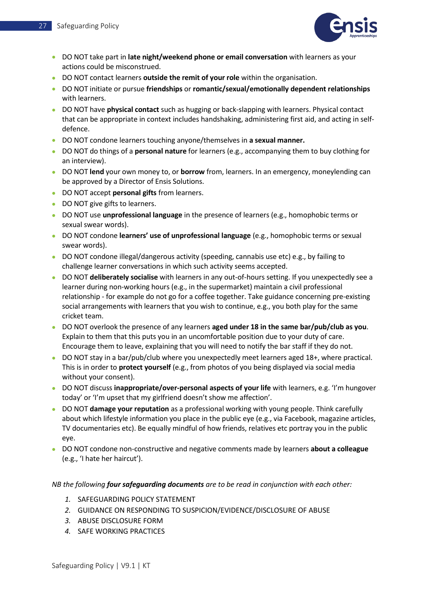

- DO NOT take part in **late night/weekend phone or email conversation** with learners as your actions could be misconstrued.
- DO NOT contact learners **outside the remit of your role** within the organisation.
- DO NOT initiate or pursue **friendships** or **romantic/sexual/emotionally dependent relationships** with learners.
- DO NOT have **physical contact** such as hugging or back-slapping with learners. Physical contact that can be appropriate in context includes handshaking, administering first aid, and acting in selfdefence.
- DO NOT condone learners touching anyone/themselves in **a sexual manner.**
- DO NOT do things of a **personal nature** for learners (e.g., accompanying them to buy clothing for an interview).
- DO NOT **lend** your own money to, or **borrow** from, learners. In an emergency, moneylending can be approved by a Director of Ensis Solutions.
- DO NOT accept **personal gifts** from learners.
- DO NOT give gifts to learners.
- DO NOT use **unprofessional language** in the presence of learners (e.g., homophobic terms or sexual swear words).
- DO NOT condone **learners' use of unprofessional language** (e.g., homophobic terms or sexual swear words).
- DO NOT condone illegal/dangerous activity (speeding, cannabis use etc) e.g., by failing to challenge learner conversations in which such activity seems accepted.
- DO NOT **deliberately socialise** with learners in any out-of-hours setting. If you unexpectedly see a learner during non-working hours (e.g., in the supermarket) maintain a civil professional relationship - for example do not go for a coffee together. Take guidance concerning pre-existing social arrangements with learners that you wish to continue, e.g., you both play for the same cricket team.
- DO NOT overlook the presence of any learners **aged under 18 in the same bar/pub/club as you**. Explain to them that this puts you in an uncomfortable position due to your duty of care. Encourage them to leave, explaining that you will need to notify the bar staff if they do not.
- DO NOT stay in a bar/pub/club where you unexpectedly meet learners aged 18+, where practical. This is in order to **protect yourself** (e.g., from photos of you being displayed via social media without your consent).
- DO NOT discuss **inappropriate/over-personal aspects of your life** with learners, e.g. 'I'm hungover today' or 'I'm upset that my girlfriend doesn't show me affection'.
- DO NOT **damage your reputation** as a professional working with young people. Think carefully about which lifestyle information you place in the public eye (e.g., via Facebook, magazine articles, TV documentaries etc). Be equally mindful of how friends, relatives etc portray you in the public eye.
- DO NOT condone non-constructive and negative comments made by learners **about a colleague**  (e.g., 'I hate her haircut').

#### *NB the following four safeguarding documents are to be read in conjunction with each other:*

- *1.* SAFEGUARDING POLICY STATEMENT
- *2.* GUIDANCE ON RESPONDING TO SUSPICION/EVIDENCE/DISCLOSURE OF ABUSE
- *3.* ABUSE DISCLOSURE FORM
- *4.* SAFE WORKING PRACTICES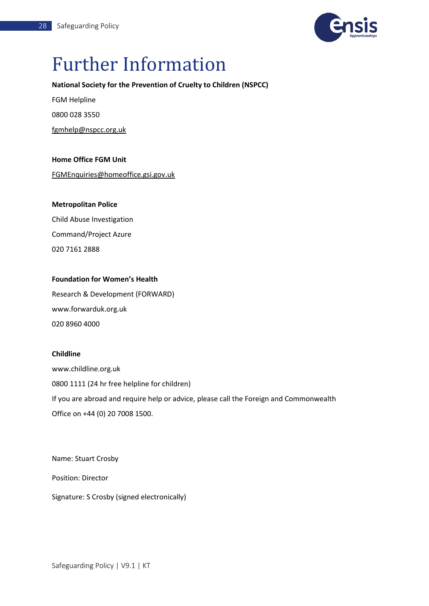

## <span id="page-28-0"></span>Further Information

### **National Society for the Prevention of Cruelty to Children (NSPCC)**

FGM Helpline 0800 028 3550

[fgmhelp@nspcc.org.uk](mailto:fgmhelp@nspcc.org.uk)

### **Home Office FGM Unit**

[FGMEnquiries@homeoffice.gsi.gov.uk](mailto:FGMEnquiries@homeoffice.gsi.gov.uk)

### **Metropolitan Police**

Child Abuse Investigation Command/Project Azure 020 7161 2888

### **Foundation for Women's Health**

Research & Development (FORWARD) www.forwarduk.org.uk 020 8960 4000

### **Childline**

www.childline.org.uk 0800 1111 (24 hr free helpline for children) If you are abroad and require help or advice, please call the Foreign and Commonwealth Office on +44 (0) 20 7008 1500.

Name: Stuart Crosby

Position: Director

Signature: S Crosby (signed electronically)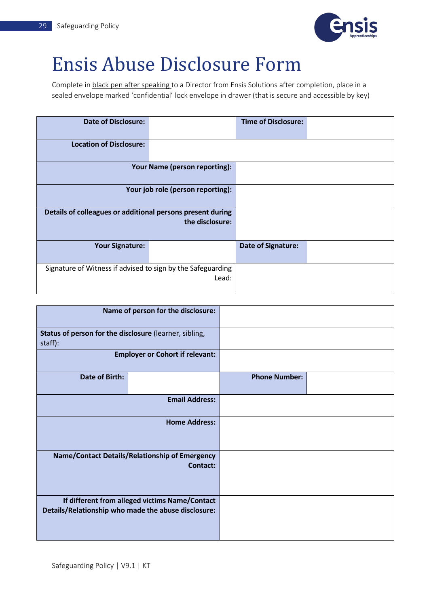

## <span id="page-29-0"></span>Ensis Abuse Disclosure Form

Complete in black pen after speaking to a Director from Ensis Solutions after completion, place in a sealed envelope marked 'confidential' lock envelope in drawer (that is secure and accessible by key)

| <b>Date of Disclosure:</b>                                  |                                   | <b>Time of Disclosure:</b> |  |
|-------------------------------------------------------------|-----------------------------------|----------------------------|--|
|                                                             |                                   |                            |  |
| <b>Location of Disclosure:</b>                              |                                   |                            |  |
|                                                             |                                   |                            |  |
|                                                             | Your Name (person reporting):     |                            |  |
|                                                             |                                   |                            |  |
|                                                             |                                   |                            |  |
|                                                             | Your job role (person reporting): |                            |  |
|                                                             |                                   |                            |  |
| Details of colleagues or additional persons present during  |                                   |                            |  |
|                                                             | the disclosure:                   |                            |  |
|                                                             |                                   |                            |  |
|                                                             |                                   |                            |  |
| <b>Your Signature:</b>                                      |                                   | <b>Date of Signature:</b>  |  |
|                                                             |                                   |                            |  |
|                                                             |                                   |                            |  |
| Signature of Witness if advised to sign by the Safeguarding |                                   |                            |  |
|                                                             | Lead:                             |                            |  |
|                                                             |                                   |                            |  |
|                                                             |                                   |                            |  |

|                                                                   | Name of person for the disclosure:                                                                    |                      |  |
|-------------------------------------------------------------------|-------------------------------------------------------------------------------------------------------|----------------------|--|
| Status of person for the disclosure (learner, sibling,<br>staff): |                                                                                                       |                      |  |
|                                                                   | <b>Employer or Cohort if relevant:</b>                                                                |                      |  |
| Date of Birth:                                                    |                                                                                                       | <b>Phone Number:</b> |  |
|                                                                   | <b>Email Address:</b>                                                                                 |                      |  |
|                                                                   | <b>Home Address:</b>                                                                                  |                      |  |
|                                                                   | Name/Contact Details/Relationship of Emergency<br><b>Contact:</b>                                     |                      |  |
|                                                                   | If different from alleged victims Name/Contact<br>Details/Relationship who made the abuse disclosure: |                      |  |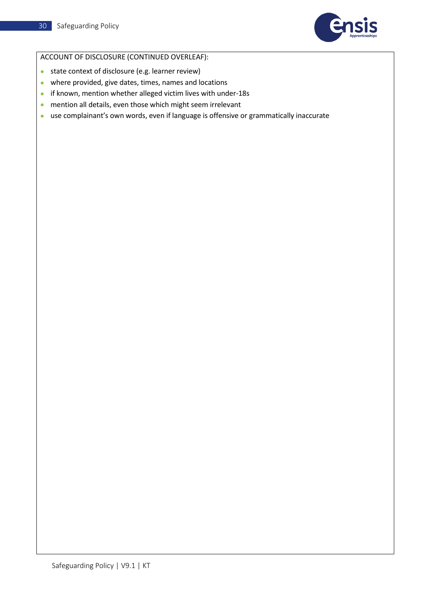

### ACCOUNT OF DISCLOSURE (CONTINUED OVERLEAF):

- state context of disclosure (e.g. learner review)
- where provided, give dates, times, names and locations
- if known, mention whether alleged victim lives with under-18s
- mention all details, even those which might seem irrelevant
- use complainant's own words, even if language is offensive or grammatically inaccurate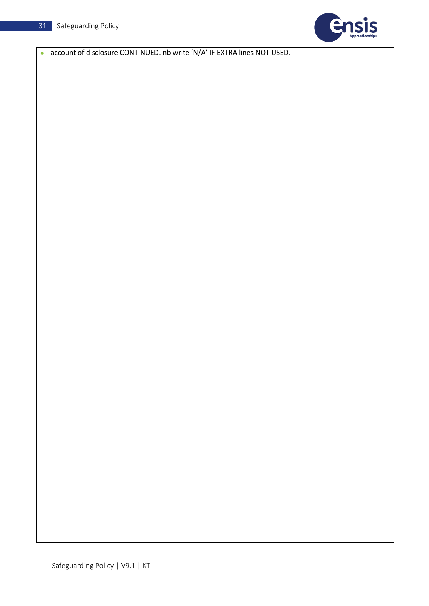

• account of disclosure CONTINUED. nb write 'N/A' IF EXTRA lines NOT USED.